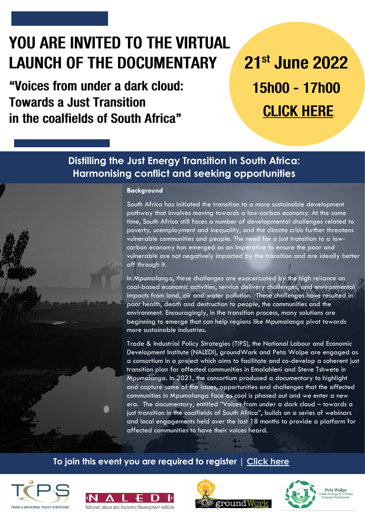## YOU ARE INVITED TO THE VIRTUAL **LAUNCH OF THE DOCUMENTARY**

"Voices from under a dark cloud: **Towards a Just Transition** in the coalfields of South Africa"

# 21st June 2022 15h00 - 17h00 **CLICK HERE**

## **Distilling the Just Energy Transition in South Africa: Harmonising conflict and seeking opportunities**

#### **Background**

South Africa has initiated the transition to a more sustainable development pathway that involves moving towards a low-carbon economy. At the same time, South Africa still faces a number of developmental challenges related to poverty, unemployment and inequality, and the climate crisis further threatens vulnerable communities and people. The need for a just transition to a lowcarbon economy has emerged as an imperative to ensure the poor and vulnerable are not negatively impacted by the transition and are ideally better off through it.

In Mpumalanga, these challenges are exacerbated by the high reliance on coal-based economic activities, service delivery challenges, and environmental impacts from land, air and water pollution. These challenges have resulted in poor health, death and destruction to people, the communities and the environment. Encouragingly, in the transition process, many solutions are beginning to emerge that can help regions like Mpumalanga pivot towards more sustainable industries.

Trade & Industrial Policy Strategies (TIPS), the National Labour and Economic Development Institute (NALEDI), groundWork and Peta Wolpe are engaged as a consortium in a project which aims to facilitate and co-develop a coherent just transition plan for affected communities in Emalahleni and Steve Tshwete in Mpumalanga. In 2021, the consortium produced a documentary to highlight and capture some of the issues, opportunities and challenges that the affected communities in Mpumalanga face as coal is phased out and we enter a new era. The documentary, entitled "Voices from under a dark cloud – towards a just transition in the coalfields of South Africa", builds on a series of webinars and local engagements held over the last 18 months to provide a platform for affected communities to have their voices heard.

## **To join this event you are required to register | [Click here](https://us06web.zoom.us/meeting/register/tZUoc-utqzMpH9L1QJM8aUL1G1M5tzG_Ys9C)**









**Peta Wolpe**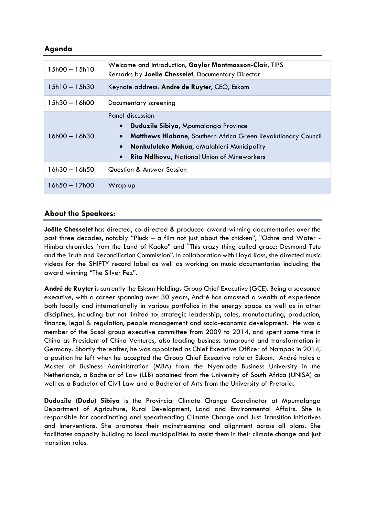## **Agenda**

| $15h00 - 15h10$ | Welcome and introduction, Gaylor Montmasson-Clair, TIPS<br>Remarks by Joelle Chesselet, Documentary Director                                                                                                                                                                      |
|-----------------|-----------------------------------------------------------------------------------------------------------------------------------------------------------------------------------------------------------------------------------------------------------------------------------|
| $15h10 - 15h30$ | Keynote address: Andre de Ruyter, CEO, Eskom                                                                                                                                                                                                                                      |
| $15h30 - 16h00$ | Documentary screening                                                                                                                                                                                                                                                             |
| $16h00 - 16h30$ | Panel discussion<br>Duduzile Sibiya, Mpumalanga Province<br>$\bullet$<br>Matthews Hlabane, Southern Africa Green Revolutionary Council<br>$\bullet$<br>Nonkululeko Makua, eMalahleni Municipality<br>$\bullet$<br><b>Rita Ndlhovu, National Union of Mineworkers</b><br>$\bullet$ |
| $16h30 - 16h50$ | Question & Answer Session                                                                                                                                                                                                                                                         |
| $16h50 - 17h00$ | Wrap up                                                                                                                                                                                                                                                                           |

### **About the Speakers:**

**Joëlle Chesselet** has directed, co-directed & produced award-winning documentaries over the past three decades, notably "Pluck – a film not just about the chicken", "Ochre and Water - Himba chronicles from the Land of Kaoko" and "This crazy thing called grace: Desmond Tutu and the Truth and Reconciliation Commission". In collaboration with Lloyd Ross, she directed music videos for the SHIFTY record label as well as working on music documentaries including the award winning "The Silver Fez".

**André de Ruyter** is currently the Eskom Holdings Group Chief Executive (GCE). Being a seasoned executive, with a career spanning over 30 years, André has amassed a wealth of experience both locally and internationally in various portfolios in the energy space as well as in other disciplines, including but not limited to: strategic leadership, sales, manufacturing, production, finance, legal & regulation, people management and socio-economic development. He was a member of the Sasol group executive committee from 2009 to 2014, and spent some time in China as President of China Ventures, also leading business turnaround and transformation in Germany. Shortly thereafter, he was appointed as Chief Executive Officer of Nampak in 2014, a position he left when he accepted the Group Chief Executive role at Eskom. André holds a Master of Business Administration (MBA) from the Nyenrode Business University in the Netherlands, a Bachelor of Law (LLB) obtained from the University of South Africa (UNISA) as well as a Bachelor of Civil Law and a Bachelor of Arts from the University of Pretoria.

**Duduzile (Dudu) Sibiya** is the Provincial Climate Change Coordinator at Mpumalanga Department of Agriculture, Rural Development, Land and Environmental Affairs. She is responsible for coordinating and spearheading Climate Change and Just Transition Initiatives and Interventions. She promotes their mainstreaming and alignment across all plans. She facilitates capacity building to local municipalities to assist them in their climate change and just transition roles.